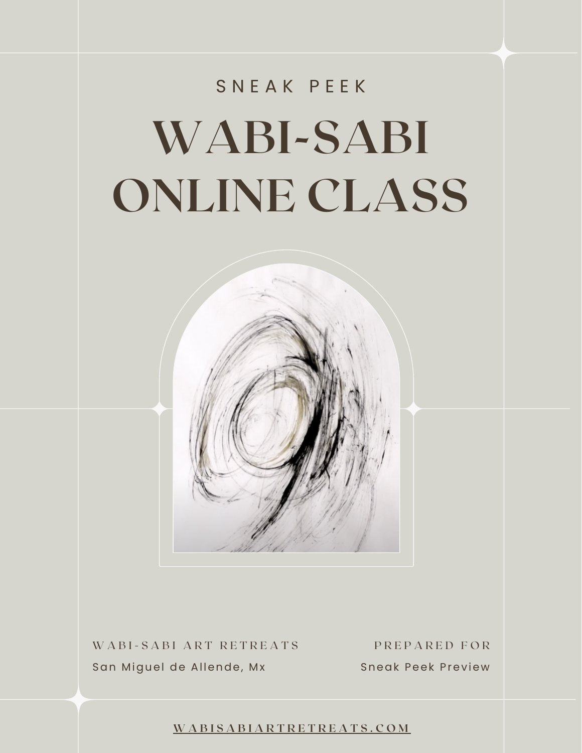## **WABI-SABI ONLINE CLASS** S N E A K P E E K

WABI-SABI ART RETREATS PREPARED FOR San Miguel de Allende, Mx

Sneak Peek Preview

**[W](https://wabisabiartretreats.com/) A B I S A B I A R T R E T R E A T S . C O M**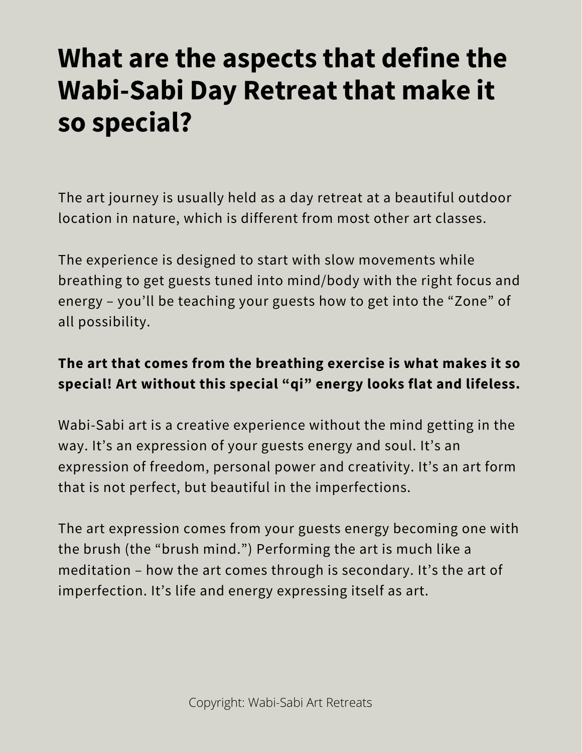## **What are the aspects that define the Wabi-Sabi Day Retreat that make it so special?**

The art journey is usually held as a day retreat at a beautiful outdoor location in nature, which is different from most other art classes.

The experience is designed to start with slow movements while breathing to get guests tuned into mind/body with the right focus and energy – you'll be teaching your guests how to get into the "Zone" of all possibility.

## **The art that comes from the breathing exercise is what makes it so special! Art without this special "qi" energy looks flat and lifeless.**

Wabi-Sabi art is a creative experience without the mind getting in the way. It's an expression of your guests energy and soul. It's an expression of freedom, personal power and creativity. It's an art form that is not perfect, but beautiful in the imperfections.

The art expression comes from your guests energy becoming one with the brush (the "brush mind.") Performing the art is much like a meditation – how the art comes through is secondary. It's the art of imperfection. It's life and energy expressing itself as art.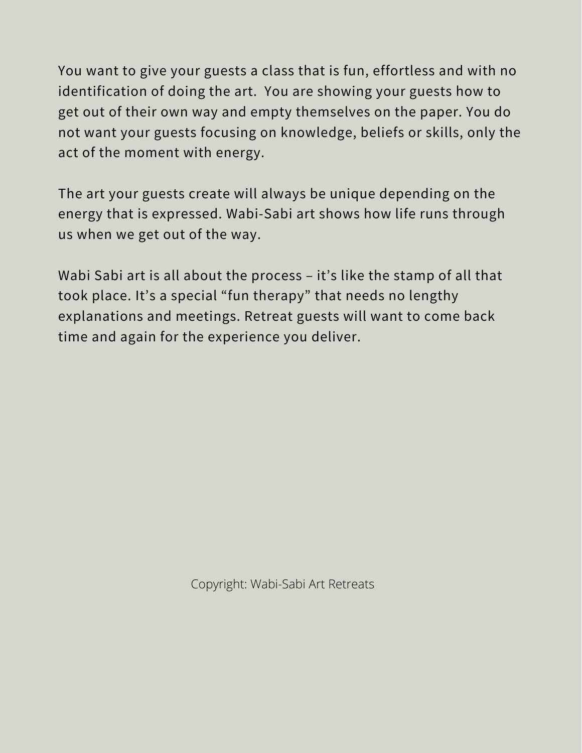You want to give your guests a class that is fun, effortless and with no identification of doing the art. You are showing your guests how to get out of their own way and empty themselves on the paper. You do not want your guests focusing on knowledge, beliefs or skills, only the act of the moment with energy.

The art your guests create will always be unique depending on the energy that is expressed. Wabi-Sabi art shows how life runs through us when we get out of the way.

Wabi Sabi art is all about the process - it's like the stamp of all that took place. It's a special "fun therapy" that needs no lengthy explanations and meetings. Retreat guests will want to come back time and again for the experience you deliver.

Copyright: Wabi-Sabi Art Retreats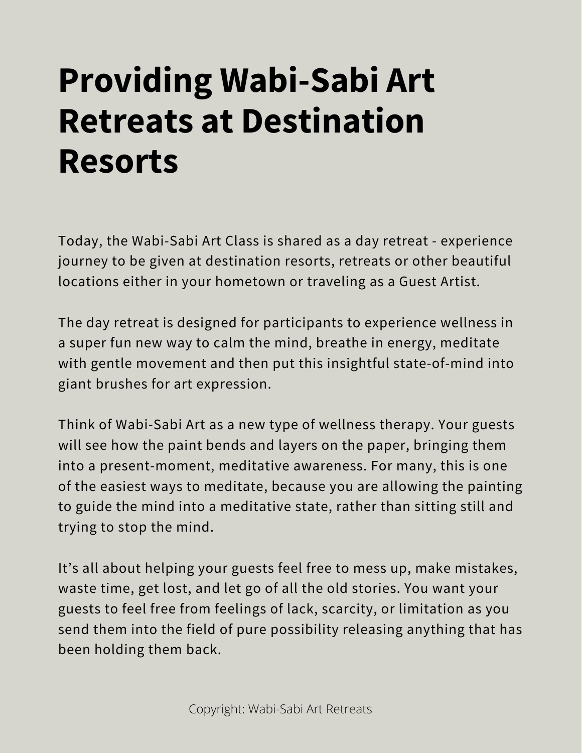## **Providing Wabi-Sabi Art Retreats at Destination Resorts**

Today, the Wabi-Sabi Art Class is shared as a day retreat - experience journey to be given at destination resorts, retreats or other beautiful locations either in your hometown or traveling as a Guest Artist.

The day retreat is designed for participants to experience wellness in a super fun new way to calm the mind, breathe in energy, meditate with gentle movement and then put this insightful state-of-mind into giant brushes for art expression.

Think of Wabi-Sabi Art as a new type of wellness therapy. Your guests will see how the paint bends and layers on the paper, bringing them into a present-moment, meditative awareness. For many, this is one of the easiest ways to meditate, because you are allowing the painting to guide the mind into a meditative state, rather than sitting still and trying to stop the mind.

It's all about helping your guests feel free to mess up, make mistakes, waste time, get lost, and let go of all the old stories. You want your guests to feel free from feelings of lack, scarcity, or limitation as you send them into the field of pure possibility releasing anything that has been holding them back.